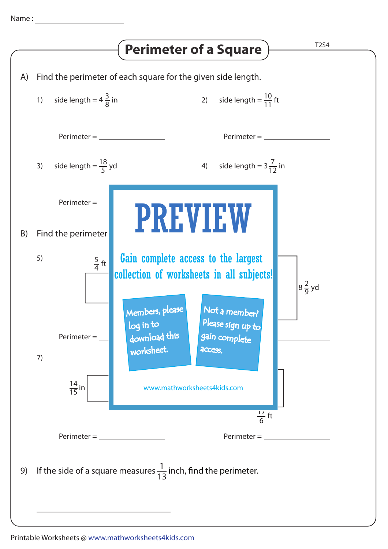